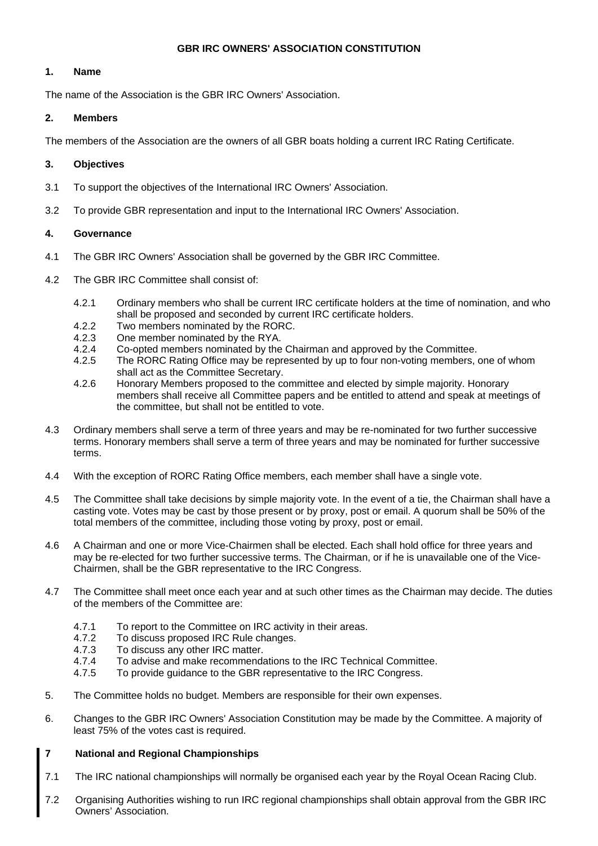### **GBR IRC OWNERS' ASSOCIATION CONSTITUTION**

### **1. Name**

The name of the Association is the GBR IRC Owners' Association.

### **2. Members**

The members of the Association are the owners of all GBR boats holding a current IRC Rating Certificate.

## **3. Objectives**

- 3.1 To support the objectives of the International IRC Owners' Association.
- 3.2 To provide GBR representation and input to the International IRC Owners' Association.

### **4. Governance**

- 4.1 The GBR IRC Owners' Association shall be governed by the GBR IRC Committee.
- 4.2 The GBR IRC Committee shall consist of:
	- 4.2.1 Ordinary members who shall be current IRC certificate holders at the time of nomination, and who shall be proposed and seconded by current IRC certificate holders.
	- 4.2.2 Two members nominated by the RORC.<br>4.2.3 One member nominated by the RYA.
	- One member nominated by the RYA.
	- 4.2.4 Co-opted members nominated by the Chairman and approved by the Committee.
	- 4.2.5 The RORC Rating Office may be represented by up to four non-voting members, one of whom shall act as the Committee Secretary.
	- 4.2.6 Honorary Members proposed to the committee and elected by simple majority. Honorary members shall receive all Committee papers and be entitled to attend and speak at meetings of the committee, but shall not be entitled to vote.
- 4.3 Ordinary members shall serve a term of three years and may be re-nominated for two further successive terms. Honorary members shall serve a term of three years and may be nominated for further successive terms.
- 4.4 With the exception of RORC Rating Office members, each member shall have a single vote.
- 4.5 The Committee shall take decisions by simple majority vote. In the event of a tie, the Chairman shall have a casting vote. Votes may be cast by those present or by proxy, post or email. A quorum shall be 50% of the total members of the committee, including those voting by proxy, post or email.
- 4.6 A Chairman and one or more Vice-Chairmen shall be elected. Each shall hold office for three years and may be re-elected for two further successive terms. The Chairman, or if he is unavailable one of the Vice-Chairmen, shall be the GBR representative to the IRC Congress.
- 4.7 The Committee shall meet once each year and at such other times as the Chairman may decide. The duties of the members of the Committee are:
	- 4.7.1 To report to the Committee on IRC activity in their areas.
	- 4.7.2 To discuss proposed IRC Rule changes.
	- 4.7.3 To discuss any other IRC matter.
	- 4.7.4 To advise and make recommendations to the IRC Technical Committee.
	- 4.7.5 To provide guidance to the GBR representative to the IRC Congress.
- 5. The Committee holds no budget. Members are responsible for their own expenses.
- 6. Changes to the GBR IRC Owners' Association Constitution may be made by the Committee. A majority of least 75% of the votes cast is required.

# **7 National and Regional Championships**

- 7.1 The IRC national championships will normally be organised each year by the Royal Ocean Racing Club.
- 7.2 Organising Authorities wishing to run IRC regional championships shall obtain approval from the GBR IRC Owners' Association.